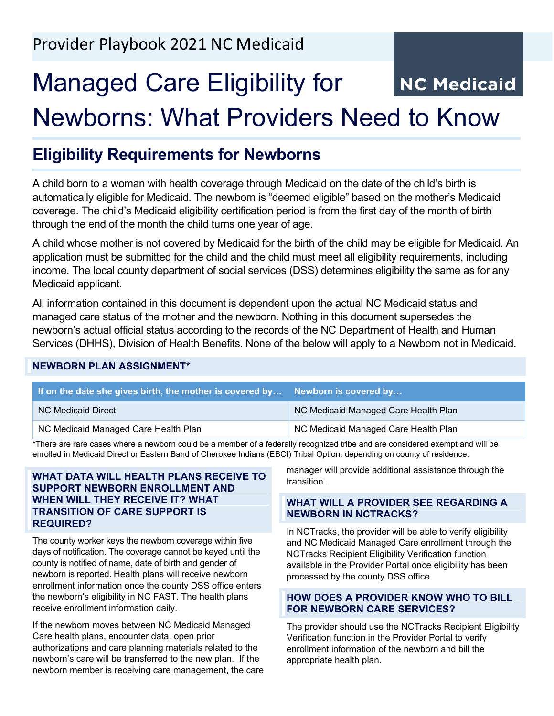# Managed Care Eligibility for **NC Medicaid** Newborns: What Providers Need to Know

# **Eligibility Requirements for Newborns**

A child born to a woman with health coverage through Medicaid on the date of the child's birth is automatically eligible for Medicaid. The newborn is "deemed eligible" based on the mother's Medicaid coverage. The child's Medicaid eligibility certification period is from the first day of the month of birth through the end of the month the child turns one year of age.

A child whose mother is not covered by Medicaid for the birth of the child may be eligible for Medicaid. An application must be submitted for the child and the child must meet all eligibility requirements, including income. The local county department of social services (DSS) determines eligibility the same as for any Medicaid applicant.

All information contained in this document is dependent upon the actual NC Medicaid status and managed care status of the mother and the newborn. Nothing in this document supersedes the newborn's actual official status according to the records of the NC Department of Health and Human Services (DHHS), Division of Health Benefits. None of the below will apply to a Newborn not in Medicaid.

#### **NEWBORN PLAN ASSIGNMENT\***

| If on the date she gives birth, the mother is covered by Newborn is covered by |                                      |
|--------------------------------------------------------------------------------|--------------------------------------|
| NC Medicaid Direct                                                             | NC Medicaid Managed Care Health Plan |
| NC Medicaid Managed Care Health Plan                                           | NC Medicaid Managed Care Health Plan |

\*There are rare cases where a newborn could be a member of a federally recognized tribe and are considered exempt and will be enrolled in Medicaid Direct or Eastern Band of Cherokee Indians (EBCI) Tribal Option, depending on county of residence.

#### **WHAT DATA WILL HEALTH PLANS RECEIVE TO SUPPORT NEWBORN ENROLLMENT AND WHEN WILL THEY RECEIVE IT? WHAT TRANSITION OF CARE SUPPORT IS REQUIRED?**

The county worker keys the newborn coverage within five days of notification. The coverage cannot be keyed until the county is notified of name, date of birth and gender of newborn is reported. Health plans will receive newborn enrollment information once the county DSS office enters the newborn's eligibility in NC FAST. The health plans receive enrollment information daily.

If the newborn moves between NC Medicaid Managed Care health plans, encounter data, open prior authorizations and care planning materials related to the newborn's care will be transferred to the new plan. If the newborn member is receiving care management, the care

manager will provide additional assistance through the transition.

#### **WHAT WILL A PROVIDER SEE REGARDING A NEWBORN IN NCTRACKS?**

In NCTracks, the provider will be able to verify eligibility and NC Medicaid Managed Care enrollment through the NCTracks Recipient Eligibility Verification function available in the Provider Portal once eligibility has been processed by the county DSS office.

#### **HOW DOES A PROVIDER KNOW WHO TO BILL FOR NEWBORN CARE SERVICES?**

The provider should use the NCTracks Recipient Eligibility Verification function in the Provider Portal to verify enrollment information of the newborn and bill the appropriate health plan.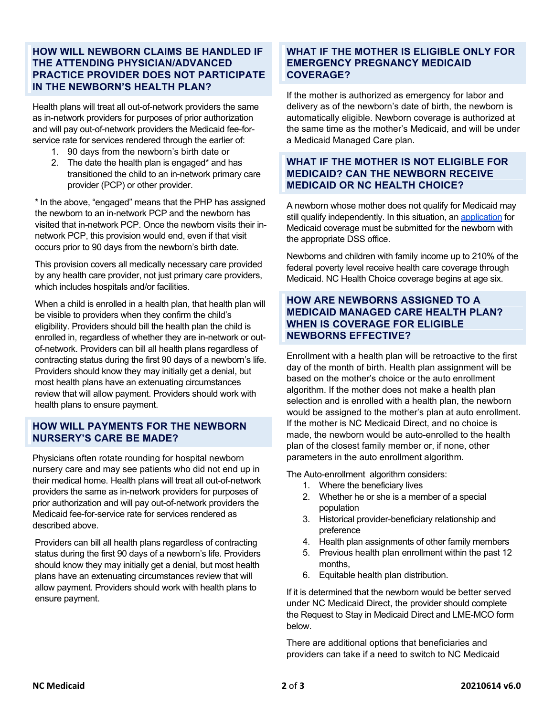#### **HOW WILL NEWBORN CLAIMS BE HANDLED IF THE ATTENDING PHYSICIAN/ADVANCED PRACTICE PROVIDER DOES NOT PARTICIPATE IN THE NEWBORN'S HEALTH PLAN?**

Health plans will treat all out-of-network providers the same as in-network providers for purposes of prior authorization and will pay out-of-network providers the Medicaid fee-forservice rate for services rendered through the earlier of:

- 1. 90 days from the newborn's birth date or
- 2. The date the health plan is engaged\* and has transitioned the child to an in-network primary care provider (PCP) or other provider.

\*In the above, "engaged" means that the PHP has assigned the newborn to an in-network PCP and the newborn has visited that in-network PCP. Once the newborn visits their innetwork PCP, this provision would end, even if that visit occurs prior to 90 days from the newborn's birth date.

This provision covers all medically necessary care provided by any health care provider, not just primary care providers, which includes hospitals and/or facilities.

When a child is enrolled in a health plan, that health plan will be visible to providers when they confirm the child's eligibility. Providers should bill the health plan the child is enrolled in, regardless of whether they are in-network or outof-network. Providers can bill all health plans regardless of contracting status during the first 90 days of a newborn's life. Providers should know they may initially get a denial, but most health plans have an extenuating circumstances review that will allow payment. Providers should work with health plans to ensure payment.

#### **HOW WILL PAYMENTS FOR THE NEWBORN NURSERY'S CARE BE MADE?**

Physicians often rotate rounding for hospital newborn nursery care and may see patients who did not end up in their medical home. Health plans will treat all out-of-network providers the same as in-network providers for purposes of prior authorization and will pay out-of-network providers the Medicaid fee-for-service rate for services rendered as described above.

Providers can bill all health plans regardless of contracting status during the first 90 days of a newborn's life. Providers should know they may initially get a denial, but most health plans have an extenuating circumstances review that will allow payment. Providers should work with health plans to ensure payment.

#### **WHAT IF THE MOTHER IS ELIGIBLE ONLY FOR EMERGENCY PREGNANCY MEDICAID COVERAGE?**

If the mother is authorized as emergency for labor and delivery as of the newborn's date of birth, the newborn is automatically eligible. Newborn coverage is authorized at the same time as the mother's Medicaid, and will be under a Medicaid Managed Care plan.

## **WHAT IF THE MOTHER IS NOT ELIGIBLE FOR MEDICAID? CAN THE NEWBORN RECEIVE MEDICAID OR NC HEALTH CHOICE?**

A newborn whose mother does not qualify for Medicaid may still qualify independently. In this situation, a[n application](https://medicaid.ncdhhs.gov/medicaid/get-started/apply-for-medicaid-or-health-choice) for Medicaid coverage must be submitted for the newborn with the appropriate DSS office.

Newborns and children with family income up to 210% of the federal poverty level receive health care coverage through Medicaid. NC Health Choice coverage begins at age six.

#### **HOW ARE NEWBORNS ASSIGNED TO A MEDICAID MANAGED CARE HEALTH PLAN? WHEN IS COVERAGE FOR ELIGIBLE NEWBORNS EFFECTIVE?**

Enrollment with a health plan will be retroactive to the first day of the month of birth. Health plan assignment will be based on the mother's choice or the auto enrollment algorithm. If the mother does not make a health plan selection and is enrolled with a health plan, the newborn would be assigned to the mother's plan at auto enrollment. If the mother is NC Medicaid Direct, and no choice is made, the newborn would be auto-enrolled to the health plan of the closest family member or, if none, other parameters in the auto enrollment algorithm.

The Auto-enrollment algorithm considers:

- 1. Where the beneficiary lives
- 2. Whether he or she is a member of a special population
- 3. Historical provider-beneficiary relationship and preference
- 4. Health plan assignments of other family members
- 5. Previous health plan enrollment within the past 12 months,
- 6. Equitable health plan distribution.

If it is determined that the newborn would be better served under NC Medicaid Direct, the provider should complete the Request to Stay in Medicaid Direct and LME-MCO form below.

There are additional options that beneficiaries and providers can take if a need to switch to NC Medicaid